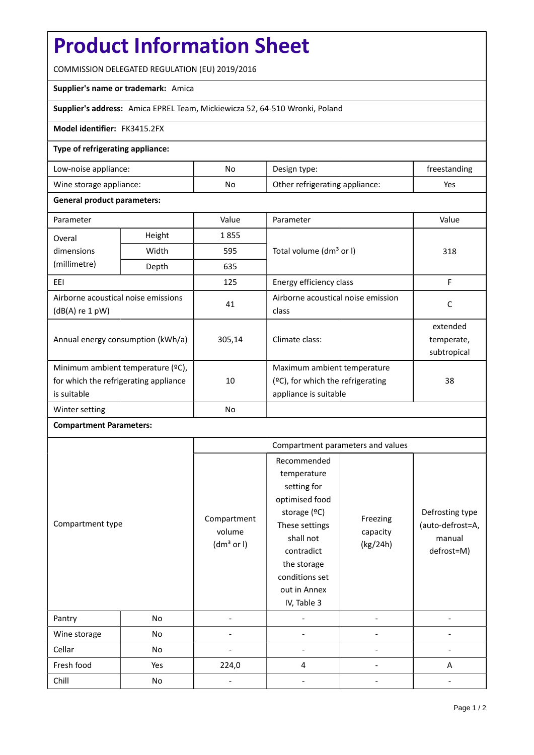# **Product Information Sheet**

COMMISSION DELEGATED REGULATION (EU) 2019/2016

## **Supplier's name or trademark:** Amica

## **Supplier's address:** Amica EPREL Team, Mickiewicza 52, 64-510 Wronki, Poland

#### **Model identifier:** FK3415.2FX

#### **Type of refrigerating appliance:**

| Low-noise appliance:    | No | Design type:                   | freestanding |
|-------------------------|----|--------------------------------|--------------|
| Wine storage appliance: | No | Other refrigerating appliance: | Yes          |

#### **General product parameters:**

| Parameter                                                |        | Value     | Parameter                           | Value       |
|----------------------------------------------------------|--------|-----------|-------------------------------------|-------------|
| Overal                                                   | Height | 1855      |                                     | 318         |
| dimensions                                               | Width  | 595       | Total volume (dm <sup>3</sup> or I) |             |
| (millimetre)                                             | Depth  | 635       |                                     |             |
| EEI                                                      |        | 125       | Energy efficiency class             | F           |
| Airborne acoustical noise emissions<br>$(dB(A)$ re 1 pW) |        | 41        | Airborne acoustical noise emission  | C           |
|                                                          |        |           | class                               |             |
| Annual energy consumption (kWh/a)                        |        | 305,14    | Climate class:                      | extended    |
|                                                          |        |           |                                     | temperate,  |
|                                                          |        |           |                                     | subtropical |
| Minimum ambient temperature (°C),                        |        |           | Maximum ambient temperature         |             |
| for which the refrigerating appliance<br>is suitable     |        | 10        | (ºC), for which the refrigerating   | 38          |
|                                                          |        |           | appliance is suitable               |             |
| Winter setting                                           |        | <b>No</b> |                                     |             |

# **Compartment Parameters:**

|                  |     | Compartment parameters and values               |                                                                                                                                                                                          |                                  |                                                             |
|------------------|-----|-------------------------------------------------|------------------------------------------------------------------------------------------------------------------------------------------------------------------------------------------|----------------------------------|-------------------------------------------------------------|
| Compartment type |     | Compartment<br>volume<br>(dm <sup>3</sup> or I) | Recommended<br>temperature<br>setting for<br>optimised food<br>storage (ºC)<br>These settings<br>shall not<br>contradict<br>the storage<br>conditions set<br>out in Annex<br>IV, Table 3 | Freezing<br>capacity<br>(kg/24h) | Defrosting type<br>(auto-defrost=A,<br>manual<br>defrost=M) |
| Pantry           | No  |                                                 |                                                                                                                                                                                          |                                  |                                                             |
| Wine storage     | No  |                                                 |                                                                                                                                                                                          |                                  |                                                             |
| Cellar           | No  |                                                 |                                                                                                                                                                                          |                                  |                                                             |
| Fresh food       | Yes | 224,0                                           | 4                                                                                                                                                                                        |                                  | A                                                           |
| Chill            | No  |                                                 |                                                                                                                                                                                          |                                  |                                                             |